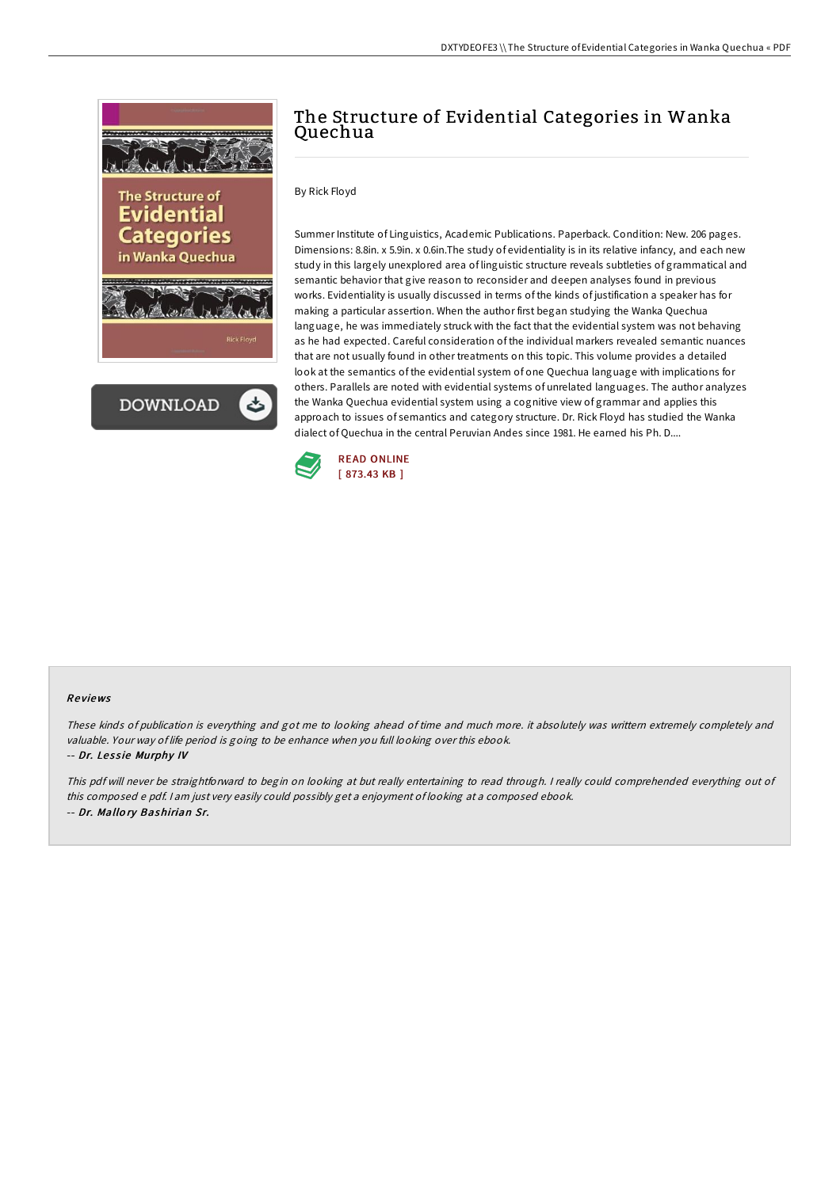



# The Structure of Evidential Categories in Wanka Quechua

## By Rick Floyd

Summer Institute of Linguistics, Academic Publications. Paperback. Condition: New. 206 pages. Dimensions: 8.8in. x 5.9in. x 0.6in.The study of evidentiality is in its relative infancy, and each new study in this largely unexplored area of linguistic structure reveals subtleties of grammatical and semantic behavior that give reason to reconsider and deepen analyses found in previous works. Evidentiality is usually discussed in terms of the kinds of justification a speaker has for making a particular assertion. When the author first began studying the Wanka Quechua language, he was immediately struck with the fact that the evidential system was not behaving as he had expected. Careful consideration of the individual markers revealed semantic nuances that are not usually found in other treatments on this topic. This volume provides a detailed look at the semantics of the evidential system of one Quechua language with implications for others. Parallels are noted with evidential systems of unrelated languages. The author analyzes the Wanka Quechua evidential system using a cognitive view of grammar and applies this approach to issues of semantics and category structure. Dr. Rick Floyd has studied the Wanka dialect of Quechua in the central Peruvian Andes since 1981. He earned his Ph. D....



#### Re views

These kinds of publication is everything and got me to looking ahead of time and much more. it absolutely was writtern extremely completely and valuable. Your way of life period is going to be enhance when you full looking over this ebook.

#### -- Dr. Lessie Murphy IV

This pdf will never be straightforward to begin on looking at but really entertaining to read through. <sup>I</sup> really could comprehended everything out of this composed <sup>e</sup> pdf. <sup>I</sup> am just very easily could possibly get <sup>a</sup> enjoyment of looking at <sup>a</sup> composed ebook. -- Dr. Mallo ry Bashirian Sr.